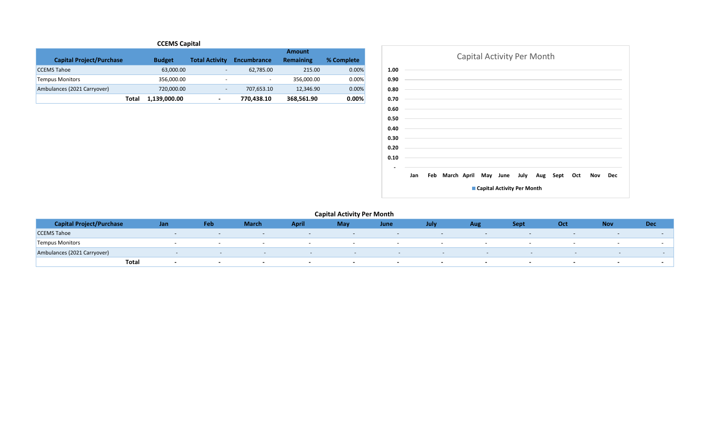## **CCEMS Capital**

|                                 |               |                          |                          | <b>Amount</b>    |            |
|---------------------------------|---------------|--------------------------|--------------------------|------------------|------------|
| <b>Capital Project/Purchase</b> | <b>Budget</b> | <b>Total Activity</b>    | <b>Encumbrance</b>       | <b>Remaining</b> | % Complete |
| <b>CCEMS Tahoe</b>              | 63,000.00     | $\overline{\phantom{0}}$ | 62.785.00                | 215.00           | 0.00%      |
| <b>Tempus Monitors</b>          | 356.000.00    | -                        | $\overline{\phantom{0}}$ | 356.000.00       | $0.00\%$   |
| Ambulances (2021 Carryover)     | 720,000.00    | $\overline{\phantom{0}}$ | 707,653.10               | 12,346.90        | 0.00%      |
| Total                           | 1,139,000.00  | $\overline{\phantom{a}}$ | 770,438.10               | 368,561.90       | 0.00%      |



| <b>Capital Project/Purchase</b> | Jan   | Feb                      | <b>March</b>             | <b>April</b>             | May                      | June                     | July | Aug | <b>Sept</b>              | Oct                      | <b>Nov</b>               | Dec    |
|---------------------------------|-------|--------------------------|--------------------------|--------------------------|--------------------------|--------------------------|------|-----|--------------------------|--------------------------|--------------------------|--------|
| <b>CCEMS Tahoe</b>              |       |                          | $-$                      | $-$                      | $\overline{\phantom{a}}$ | $\overline{\phantom{a}}$ |      |     | $-$                      |                          |                          |        |
| <b>Tempus Monitors</b>          |       |                          |                          |                          |                          |                          |      |     |                          |                          |                          |        |
| Ambulances (2021 Carryover)     |       |                          |                          | $\sim$                   | $\sim$                   |                          |      |     | $\overline{\phantom{0}}$ | $\overline{\phantom{0}}$ | $\sim$                   | $\sim$ |
|                                 | Total | $\overline{\phantom{0}}$ | $\overline{\phantom{a}}$ | $\overline{\phantom{0}}$ |                          |                          |      |     |                          |                          | $\overline{\phantom{a}}$ |        |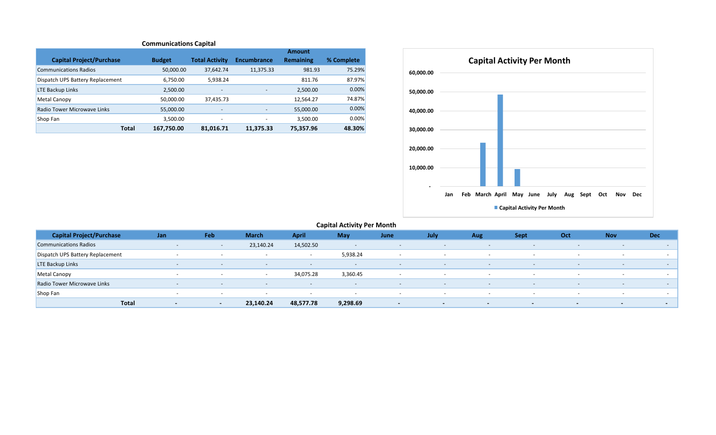## **Communications Capital**

|                                  |               |                          |                          | <b>Amount</b> |            |
|----------------------------------|---------------|--------------------------|--------------------------|---------------|------------|
| <b>Capital Project/Purchase</b>  | <b>Budget</b> | <b>Total Activity</b>    | <b>Encumbrance</b>       | Remaining     | % Complete |
| <b>Communications Radios</b>     | 50,000.00     | 37,642.74                | 11,375.33                | 981.93        | 75.29%     |
| Dispatch UPS Battery Replacement | 6.750.00      | 5.938.24                 |                          | 811.76        | 87.97%     |
| <b>LTE Backup Links</b>          | 2,500.00      | $\overline{\phantom{a}}$ | $\overline{\phantom{a}}$ | 2,500.00      | 0.00%      |
| Metal Canopy                     | 50,000.00     | 37,435.73                |                          | 12,564.27     | 74.87%     |
| Radio Tower Microwave Links      | 55,000.00     | $\overline{\phantom{a}}$ | $\qquad \qquad$          | 55,000.00     | 0.00%      |
| Shop Fan                         | 3.500.00      | $\overline{\phantom{a}}$ | $\overline{\phantom{a}}$ | 3,500.00      | 0.00%      |
| <b>Total</b>                     | 167,750.00    | 81,016.71                | 11.375.33                | 75.357.96     | 48.30%     |



| <b>Capital Project/Purchase</b>  | Jan          |                          | Feb    | <b>March</b>             | <b>April</b>             | May                      | June           | July                     | Aug                      | <b>Sept</b>              | Oct                      | <b>Nov</b>               | <b>Dec</b>               |
|----------------------------------|--------------|--------------------------|--------|--------------------------|--------------------------|--------------------------|----------------|--------------------------|--------------------------|--------------------------|--------------------------|--------------------------|--------------------------|
| <b>Communications Radios</b>     |              | $\sim$                   |        | 23,140.24                | 14,502.50                | $\overline{\phantom{0}}$ | $\sim$         | $\overline{\phantom{0}}$ | $\sim$                   | $\sim$                   | $\overline{\phantom{a}}$ | $\sim$                   | $\overline{\phantom{a}}$ |
| Dispatch UPS Battery Replacement |              | $\overline{\phantom{0}}$ |        | $\overline{\phantom{0}}$ | $\overline{\phantom{a}}$ | 5,938.24                 | $\sim$         | $\overline{\phantom{a}}$ | $\overline{\phantom{0}}$ | $\sim$                   | $\overline{\phantom{a}}$ | $\sim$                   | $\sim$                   |
| <b>LTE Backup Links</b>          |              | $\sim$                   | $\sim$ | $\sim$                   | $\sim$                   | $\overline{\phantom{a}}$ | $\sim$         | $-$                      | $\sim$                   | $\sim$                   | $\sim$                   | $\sim$                   | $\sim$                   |
| Metal Canopy                     |              | $\overline{\phantom{0}}$ |        | $\overline{\phantom{a}}$ | 34,075.28                | 3,360.45                 | $\sim$         |                          | $\sim$                   | $\overline{\phantom{a}}$ | $\overline{\phantom{0}}$ | $\sim$                   | $-$                      |
| Radio Tower Microwave Links      |              | $\sim$                   |        | $\sim$                   | $\sim$                   | $\overline{\phantom{a}}$ | $\sim$ $ \sim$ | $\sim$                   | $\sim$                   | $\sim$                   | $\overline{\phantom{a}}$ | $\sim$                   | $\sim$                   |
| Shop Fan                         |              | $\sim$                   |        | $\sim$                   | $\overline{\phantom{a}}$ | $\overline{\phantom{a}}$ | $\sim$         | $\sim$                   | $\overline{\phantom{0}}$ | $\sim$                   | $\overline{\phantom{0}}$ | $\overline{\phantom{0}}$ | $-$                      |
|                                  | <b>Total</b> | $\overline{\phantom{a}}$ | $\sim$ | 23,140.24                | 48,577.78                | 9,298.69                 | $\sim$         | $\sim$                   | $-$                      | $\blacksquare$           | $\sim$                   | $\sim$                   | $-$                      |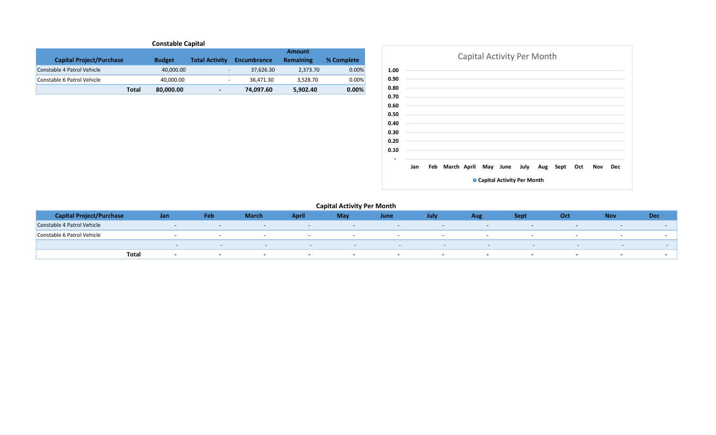| <b>Constable Capital</b>        |               |                          |                    |                  |            |  |  |  |  |  |  |  |
|---------------------------------|---------------|--------------------------|--------------------|------------------|------------|--|--|--|--|--|--|--|
| Amount                          |               |                          |                    |                  |            |  |  |  |  |  |  |  |
| <b>Capital Project/Purchase</b> | <b>Budget</b> | <b>Total Activity</b>    | <b>Encumbrance</b> | <b>Remaining</b> | % Complete |  |  |  |  |  |  |  |
| Constable 4 Patrol Vehicle      | 40,000.00     | -                        | 37,626.30          | 2.373.70         | 0.00%      |  |  |  |  |  |  |  |
| Constable 6 Patrol Vehicle      | 40.000.00     | $\overline{\phantom{a}}$ | 36.471.30          | 3.528.70         | 0.00%      |  |  |  |  |  |  |  |
| <b>Total</b>                    | 80,000.00     | $\overline{\phantom{a}}$ | 74,097.60          | 5,902.40         | 0.00%      |  |  |  |  |  |  |  |



| <b>Capital Project/Purchase</b> |       | Jan                      | Feb    | <b>March</b>             | April  | May | June                     | July                     | Aug                      | <b>Sept</b> | Oct    | <b>Nov</b> | <b>Dec</b> |
|---------------------------------|-------|--------------------------|--------|--------------------------|--------|-----|--------------------------|--------------------------|--------------------------|-------------|--------|------------|------------|
| Constable 4 Patrol Vehicle      |       |                          |        |                          |        |     | $\overline{\phantom{0}}$ | $\overline{\phantom{a}}$ |                          |             |        |            |            |
| Constable 6 Patrol Vehicle      |       |                          |        |                          |        |     | $\overline{\phantom{a}}$ |                          |                          |             |        |            |            |
|                                 |       |                          |        | $-$                      | $\sim$ | $-$ | $\sim$                   |                          | $\overline{\phantom{a}}$ |             | $\sim$ |            |            |
|                                 | Total | $\overline{\phantom{a}}$ | $\sim$ | $\overline{\phantom{0}}$ |        |     | $\overline{\phantom{a}}$ | $\sim$                   |                          |             |        |            |            |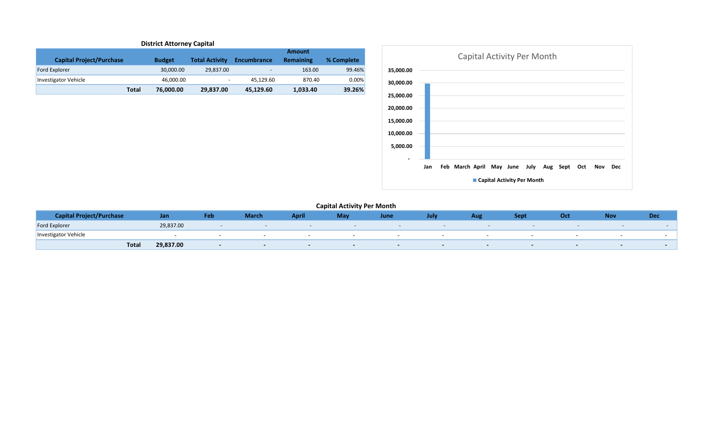| <b>District Attorney Capital</b> |               |                              |                          |                  |            |  |  |  |  |  |  |  |
|----------------------------------|---------------|------------------------------|--------------------------|------------------|------------|--|--|--|--|--|--|--|
| <b>Amount</b>                    |               |                              |                          |                  |            |  |  |  |  |  |  |  |
| <b>Capital Project/Purchase</b>  | <b>Budget</b> | <b>Total Activity</b>        | <b>Encumbrance</b>       | <b>Remaining</b> | % Complete |  |  |  |  |  |  |  |
| <b>Ford Explorer</b>             | 30,000.00     | 29,837.00                    | $\overline{\phantom{0}}$ | 163.00           | 99.46%     |  |  |  |  |  |  |  |
| Investigator Vehicle             | 46,000.00     | $\qquad \qquad \blacksquare$ | 45.129.60                | 870.40           | 0.00%      |  |  |  |  |  |  |  |
| <b>Total</b>                     | 76,000.00     | 29,837.00                    | 45,129.60                | 1,033.40         | 39.26%     |  |  |  |  |  |  |  |



| <b>Sapital Project/Purchase</b> | Jan                | Feb | March / | April | May | June                     | July | <b>Aur</b> | Sept | Oct | <b>Nov</b> | <b>Dec</b> |
|---------------------------------|--------------------|-----|---------|-------|-----|--------------------------|------|------------|------|-----|------------|------------|
| <b>Ford Explorer</b>            | 29,837.00          |     |         |       |     |                          |      |            |      |     |            |            |
| Investigator Vehicle            |                    |     |         |       |     | $\overline{\phantom{a}}$ |      |            |      |     |            |            |
|                                 | 29,837.00<br>Total |     |         |       |     |                          |      |            |      |     |            |            |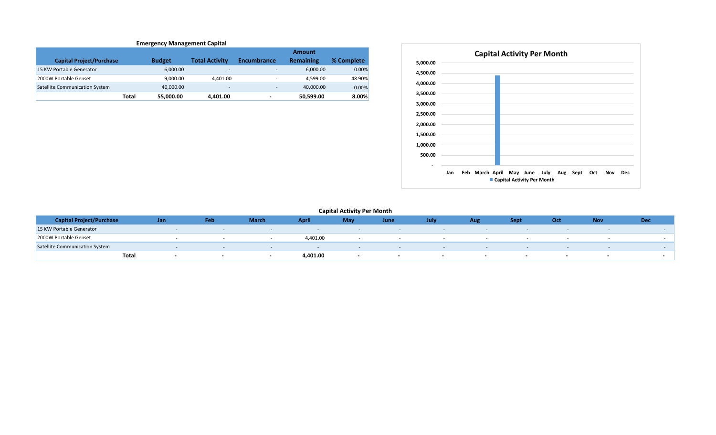#### **Emergency Management Capital**

|                                       |                    |                          |                          | <b>Amount</b> |            |
|---------------------------------------|--------------------|--------------------------|--------------------------|---------------|------------|
| <b>Capital Project/Purchase</b>       | <b>Budget</b>      | <b>Total Activity</b>    | <b>Encumbrance</b>       | Remaining     | % Complete |
| 15 KW Portable Generator              | 6.000.00           | $\overline{\phantom{a}}$ | $\overline{\phantom{a}}$ | 6.000.00      | 0.00%      |
| 2000W Portable Genset                 | 9.000.00           | 4.401.00                 | -                        | 4.599.00      | 48.90%     |
| <b>Satellite Communication System</b> | 40,000.00          | $\overline{\phantom{a}}$ | $\overline{\phantom{a}}$ | 40,000.00     | 0.00%      |
|                                       | Total<br>55,000.00 | 4.401.00                 | $\overline{\phantom{0}}$ | 50.599.00     | 8.00%      |



| <b>Capital Project/Purchase</b>       | Jan   | Feb                      | <b>March</b> | April    | May | June | July                     | Aug                      | <b>Sept</b> | Oct | <b>Nov</b> | Dec |
|---------------------------------------|-------|--------------------------|--------------|----------|-----|------|--------------------------|--------------------------|-------------|-----|------------|-----|
| 15 KW Portable Generator              |       |                          |              |          |     |      |                          |                          |             |     |            |     |
| 2000W Portable Genset                 |       |                          |              | 4,401.00 |     |      |                          |                          |             |     |            |     |
| <b>Satellite Communication System</b> |       |                          |              |          |     |      |                          |                          |             |     |            |     |
|                                       | Total | $\overline{\phantom{a}}$ |              | 4,401.00 |     |      | $\overline{\phantom{a}}$ | $\overline{\phantom{a}}$ |             | -   |            |     |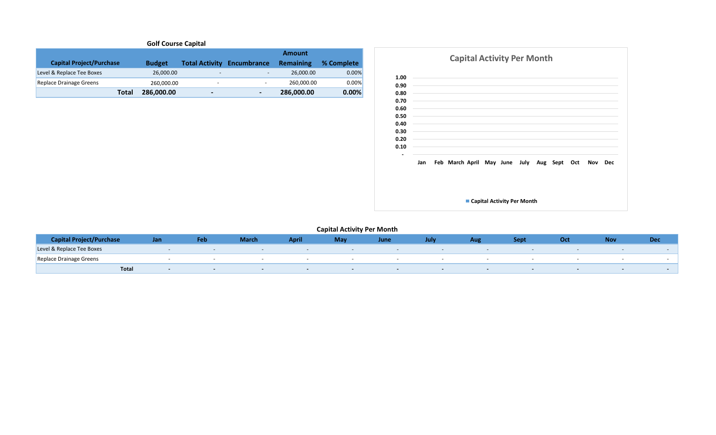# **Golf Course Capital**

|                                 |               |                |                                   | <b>Amount</b> |            |
|---------------------------------|---------------|----------------|-----------------------------------|---------------|------------|
| <b>Capital Project/Purchase</b> | <b>Budget</b> |                | <b>Total Activity Encumbrance</b> | Remaining     | % Complete |
| Level & Replace Tee Boxes       | 26,000.00     | -              | $\overline{\phantom{0}}$          | 26,000.00     | $0.00\%$   |
| Replace Drainage Greens         | 260,000.00    | -              | $\overline{\phantom{0}}$          | 260.000.00    | 0.00%      |
| Total                           | 286.000.00    | $\blacksquare$ | $\overline{\phantom{0}}$          | 286,000.00    | 0.00%      |



| <b>Capital Project/Purchase</b> | Jan | Feb | <b>March</b> | <b>Apri</b> | <b>May</b> | June   | July                     | Aug | Sept                     | Oct                      | <b>Nov</b>               | Dec |
|---------------------------------|-----|-----|--------------|-------------|------------|--------|--------------------------|-----|--------------------------|--------------------------|--------------------------|-----|
| Level & Replace Tee Boxes       |     |     |              |             |            |        |                          |     |                          |                          |                          |     |
| Replace Drainage Greens         |     |     |              |             |            |        |                          |     |                          |                          | $\overline{\phantom{a}}$ |     |
| Tota.                           |     |     |              |             |            | $\sim$ | $\overline{\phantom{a}}$ |     | $\overline{\phantom{a}}$ | $\overline{\phantom{a}}$ | $\overline{\phantom{0}}$ |     |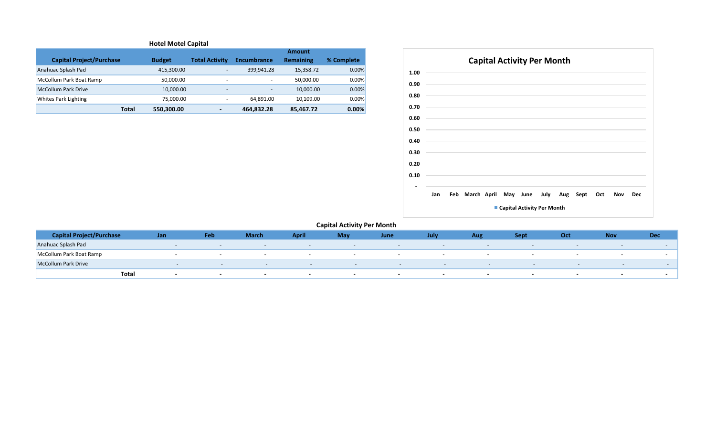## **Hotel Motel Capital**

|                                 |               |                          |                          | <b>Amount</b>    |            |
|---------------------------------|---------------|--------------------------|--------------------------|------------------|------------|
| <b>Capital Project/Purchase</b> | <b>Budget</b> | <b>Total Activity</b>    | <b>Encumbrance</b>       | <b>Remaining</b> | % Complete |
| Anahuac Splash Pad              | 415,300.00    | $\overline{\phantom{a}}$ | 399,941.28               | 15,358.72        | 0.00%      |
| McCollum Park Boat Ramp         | 50.000.00     | $\overline{\phantom{a}}$ | $\overline{\phantom{a}}$ | 50.000.00        | 0.00%      |
| McCollum Park Drive             | 10.000.00     | $\overline{\phantom{a}}$ | $\overline{\phantom{0}}$ | 10,000.00        | 0.00%      |
| Whites Park Lighting            | 75,000.00     | $\overline{\phantom{a}}$ | 64.891.00                | 10.109.00        | 0.00%      |
| Total                           | 550,300.00    | $\overline{\phantom{0}}$ | 464,832.28               | 85.467.72        | 0.00%      |



| <b>Capital Project/Purchase</b> | Jan   | Feb                      | <b>March</b>             | <b>April</b> | May                      | June                     | <b>July</b> | Aug                      | Sept                     | Oct    | <b>Nov</b>               | <b>Dec</b> |
|---------------------------------|-------|--------------------------|--------------------------|--------------|--------------------------|--------------------------|-------------|--------------------------|--------------------------|--------|--------------------------|------------|
| Anahuac Splash Pad              |       | $\overline{\phantom{a}}$ | $\overline{\phantom{0}}$ | $-$          | $-$                      | $\overline{\phantom{0}}$ | -           |                          | $-$                      |        | $\overline{\phantom{a}}$ |            |
| McCollum Park Boat Ramp         |       |                          | $-$                      |              | $-$                      | $\overline{\phantom{a}}$ |             |                          |                          |        |                          |            |
| <b>McCollum Park Drive</b>      |       |                          |                          | $\sim$       | $\sim$                   | $-$                      |             | $\overline{\phantom{a}}$ | $\overline{\phantom{a}}$ | $\sim$ |                          |            |
|                                 | Total | $\overline{\phantom{0}}$ |                          |              | $\overline{\phantom{0}}$ | - -                      |             |                          |                          |        |                          |            |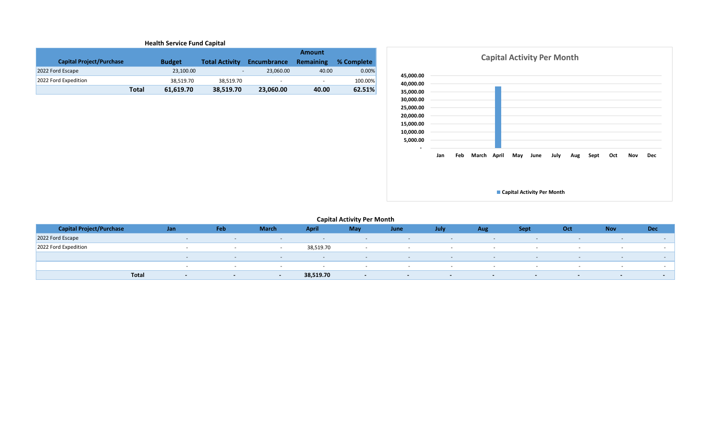| <b>Health Service Fund Capital</b> |              |               |                          |                          |                          |            |  |  |  |  |  |  |
|------------------------------------|--------------|---------------|--------------------------|--------------------------|--------------------------|------------|--|--|--|--|--|--|
| <b>Amount</b>                      |              |               |                          |                          |                          |            |  |  |  |  |  |  |
| <b>Capital Project/Purchase</b>    |              | <b>Budget</b> | <b>Total Activity</b>    | Encumbrance              | <b>Remaining</b>         | % Complete |  |  |  |  |  |  |
| 2022 Ford Escape                   |              | 23,100.00     | $\overline{\phantom{0}}$ | 23.060.00                | 40.00                    | 0.00%      |  |  |  |  |  |  |
| 2022 Ford Expedition               |              | 38.519.70     | 38.519.70                | $\overline{\phantom{a}}$ | $\overline{\phantom{a}}$ | 100.00%    |  |  |  |  |  |  |
|                                    | <b>Total</b> | 61.619.70     | 38,519.70                | 23,060.00                | 40.00                    | 62.51%     |  |  |  |  |  |  |



| <b>Capital Project/Purchase</b> | Jan    | Feb                      | <b>March</b>             | <b>April</b> | May                      | June                     | July          | Aug                      | <b>Sept</b>              | Oct                      | <b>Nov</b>               | <b>Dec</b> |
|---------------------------------|--------|--------------------------|--------------------------|--------------|--------------------------|--------------------------|---------------|--------------------------|--------------------------|--------------------------|--------------------------|------------|
| 2022 Ford Escape                |        | $\overline{\phantom{0}}$ | $-$                      | $-$          | $\sim$                   | $\sim$                   | $-$           | $\overline{\phantom{0}}$ | $\overline{\phantom{a}}$ | $\overline{\phantom{a}}$ | $\overline{\phantom{a}}$ |            |
| 2022 Ford Expedition            |        |                          | $\overline{\phantom{a}}$ | 38,519.70    | $\overline{\phantom{a}}$ |                          |               |                          | $-$                      | $-$                      | $\overline{\phantom{a}}$ |            |
|                                 |        | $\overline{\phantom{0}}$ | $\sim$                   | $-$          | $\sim$ $\sim$            | $\sim$                   | $\sim$ $\sim$ | $\sim$                   | $\sim$                   | $\sim$                   | $\sim$                   |            |
|                                 |        | $\overline{\phantom{0}}$ |                          |              | $\overline{\phantom{a}}$ | $\overline{\phantom{a}}$ |               |                          | $\overline{\phantom{a}}$ | $\sim$                   | $\overline{\phantom{0}}$ |            |
| <b>Total</b>                    | $\sim$ | $\sim$                   | $\sim$                   | 38,519.70    | $\sim$                   | $\sim$                   | $\sim$        | $\sim$                   | $\sim$                   | $\sim$                   | $\sim$ $ \sim$           |            |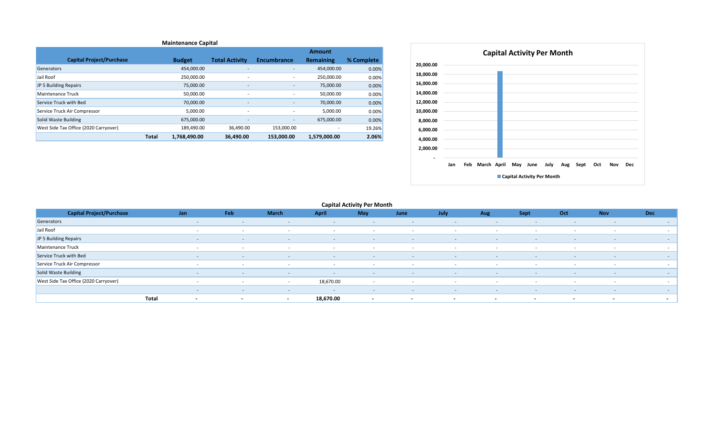|                                       |              |               |                          |                          | <b>Amount</b> |            |
|---------------------------------------|--------------|---------------|--------------------------|--------------------------|---------------|------------|
| <b>Capital Project/Purchase</b>       |              | <b>Budget</b> | <b>Total Activity</b>    | <b>Encumbrance</b>       | Remaining     | % Complete |
| Generators                            |              | 454,000.00    | $\overline{\phantom{a}}$ | ۰.                       | 454,000.00    | 0.00%      |
| Jail Roof                             |              | 250,000.00    | ٠                        | ٠                        | 250,000.00    | 0.00%      |
| JP 5 Building Repairs                 |              | 75,000.00     | $\overline{\phantom{a}}$ | ٠                        | 75,000.00     | 0.00%      |
| Maintenance Truck                     |              | 50,000.00     | $\sim$                   | ٠                        | 50,000.00     | 0.00%      |
| Service Truck with Bed                |              | 70,000.00     | $\overline{\phantom{a}}$ | $\overline{\phantom{a}}$ | 70,000.00     | 0.00%      |
| Service Truck Air Compressor          |              | 5,000.00      | ۰                        | $\overline{\phantom{a}}$ | 5,000.00      | 0.00%      |
| Solid Waste Building                  |              | 675,000.00    | $\sim$                   | $\sim$                   | 675,000.00    | 0.00%      |
| West Side Tax Office (2020 Carryover) |              | 189,490.00    | 36,490.00                | 153,000.00               | ٠             | 19.26%     |
|                                       | <b>Total</b> | 1,768,490.00  | 36.490.00                | 153.000.00               | 1,579,000.00  | 2.06%      |



| <b>Capital Project/Purchase</b>       | Jan                               | Feb                      | <b>March</b>             | <b>April</b>             | <b>May</b>               | June                     | July       | Aug    | <b>Sept</b>              | Oct                      | <b>Nov</b>               | <b>Dec</b> |
|---------------------------------------|-----------------------------------|--------------------------|--------------------------|--------------------------|--------------------------|--------------------------|------------|--------|--------------------------|--------------------------|--------------------------|------------|
| Generators                            | $\sim$                            | $\sim$                   | $\sim$                   | $\overline{\phantom{0}}$ | $\sim$                   | $\sim$                   | $\sim$     | $\sim$ | $\sim$                   | $\overline{\phantom{a}}$ | $\sim$                   |            |
| Jail Roof                             |                                   |                          | . .                      |                          | $\overline{\phantom{a}}$ |                          |            |        |                          |                          |                          |            |
| JP 5 Building Repairs                 | $\sim$                            | $\sim$                   | $\sim$                   | $\sim$ $-$               | $\sim$ $-$               | $\sim$                   | $\sim$ $-$ | $\sim$ | $\sim$                   | $\sim$                   | $\overline{\phantom{a}}$ |            |
| Maintenance Truck                     | $\sim$                            |                          | . .                      | . .                      | $\sim$                   |                          |            |        | $\sim$                   |                          |                          |            |
| Service Truck with Bed                | $\sim$                            | $\sim$                   | $\sim$                   | $\sim$                   | $\sim$                   | $\sim$                   | - - -      | $\sim$ | $\sim$                   | $\sim$                   | $\overline{\phantom{a}}$ | $\sim$     |
| Service Truck Air Compressor          | $\sim$                            | $\sim$                   | $\sim$                   | $\sim$                   | $\sim$                   | $\sim$                   | $\sim$ $-$ | $\sim$ | $\sim$                   | $\sim$                   | $\sim$                   | $\sim$     |
| Solid Waste Building                  | $\sim$                            | $\sim$                   | $\sim$                   | $\sim$                   | $\sim$                   | $\sim$                   | $\sim$     | $\sim$ | <b>CONTINUES</b>         | $\sim$                   | $\sim$                   | $\sim$     |
| West Side Tax Office (2020 Carryover) | $\sim$                            | $\sim$                   | $\sim$                   | 18,670.00                | $\sim$                   | $-$                      | $\sim$     | $-$    | $\sim$                   | $\sim$                   | $\sim$                   | $\sim$     |
|                                       | $\sim$                            | $\sim$                   | $\sim$                   | $\overline{\phantom{a}}$ | $\sim$                   | <b>CONTINUES</b>         | $\sim$     | $\sim$ | $\sim$                   | $\sim$                   | $\sim$                   |            |
|                                       | Total<br>$\overline{\phantom{0}}$ | $\overline{\phantom{a}}$ | $\overline{\phantom{a}}$ | 18,670.00                | $\sim$                   | $\overline{\phantom{a}}$ | $\sim$     | $\sim$ | $\overline{\phantom{a}}$ | $\sim$                   | $\sim$                   | $\sim$     |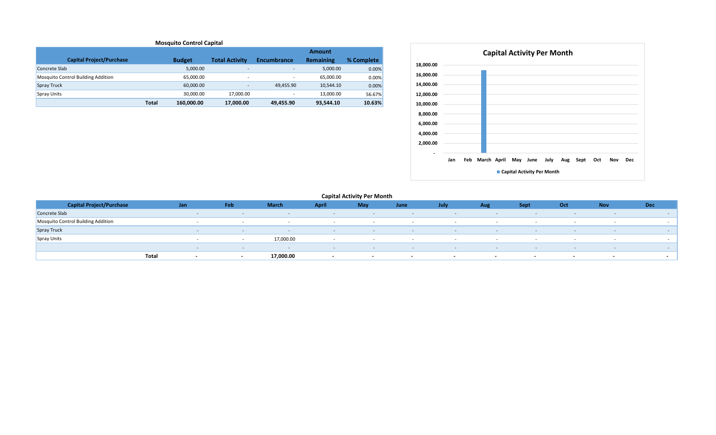| <b>Mosquito Control Capital</b>           |              |               |                       |                          |                  |            |  |  |  |  |  |  |
|-------------------------------------------|--------------|---------------|-----------------------|--------------------------|------------------|------------|--|--|--|--|--|--|
|                                           |              |               |                       |                          | <b>Amount</b>    |            |  |  |  |  |  |  |
| <b>Capital Project/Purchase</b>           |              | <b>Budget</b> | <b>Total Activity</b> | <b>Encumbrance</b>       | <b>Remaining</b> | % Complete |  |  |  |  |  |  |
| Concrete Slab                             |              | 5,000.00      |                       | $\overline{\phantom{0}}$ | 5,000.00         | 0.00%      |  |  |  |  |  |  |
| <b>Mosquito Control Building Addition</b> |              | 65.000.00     |                       |                          | 65.000.00        | 0.00%      |  |  |  |  |  |  |
| <b>Spray Truck</b>                        |              | 60.000.00     |                       | 49.455.90                | 10,544.10        | 0.00%      |  |  |  |  |  |  |
| <b>Spray Units</b>                        |              | 30.000.00     | 17,000.00             | $\overline{\phantom{a}}$ | 13,000.00        | 56.67%     |  |  |  |  |  |  |
|                                           | <b>Total</b> | 160,000.00    | 17,000.00             | 49,455.90                | 93.544.10        | 10.63%     |  |  |  |  |  |  |



| <b>Capital Project/Purchase</b>    | Jan   | Feb                      | <b>March</b>      | <b>April</b>             | <b>May</b> | June   | July                     | <b>Aug</b>               | <b>Sept</b>              | Oct | <b>Nov</b> | <b>Dec</b> |
|------------------------------------|-------|--------------------------|-------------------|--------------------------|------------|--------|--------------------------|--------------------------|--------------------------|-----|------------|------------|
| Concrete Slab                      |       | $\sim$                   | $\sim$            | $\overline{\phantom{0}}$ | $\sim$     | $\sim$ | $\sim$                   | $\sim$                   | $\sim$                   |     |            |            |
| Mosquito Control Building Addition |       |                          |                   |                          |            |        |                          |                          |                          |     |            |            |
| Spray Truck                        |       | $-$                      | <b>CONTRACTOR</b> | <b>CONTINUES</b>         | $\sim$     | $\sim$ | $\sim$                   | <b>CONTINUES</b>         | $\sim$                   |     | $\sim$     |            |
| Spray Units                        |       |                          | 17,000.00         |                          |            | . .    | . .                      |                          | . .                      |     |            |            |
|                                    |       | $\overline{\phantom{a}}$ |                   | $\overline{\phantom{a}}$ | $\sim$     |        | $\overline{\phantom{a}}$ | $\overline{\phantom{a}}$ |                          |     |            |            |
|                                    | Total | $\overline{\phantom{a}}$ | 17,000.00         |                          |            |        |                          | $\sim$                   | $\overline{\phantom{a}}$ | . . |            |            |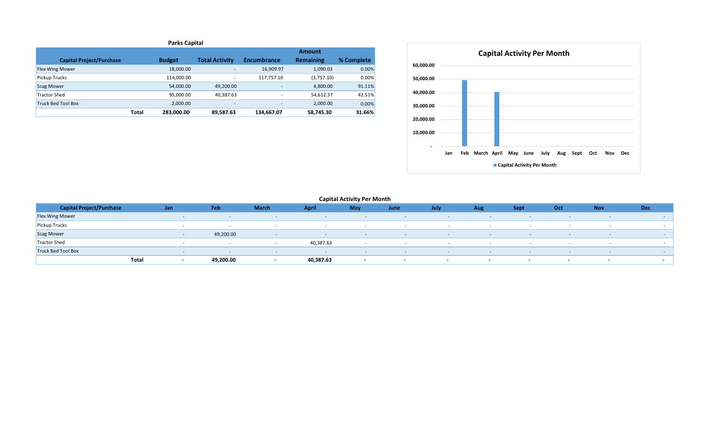| <b>Parks Capital</b>            |              |               |                          |                          |                  |            |  |  |  |  |  |  |
|---------------------------------|--------------|---------------|--------------------------|--------------------------|------------------|------------|--|--|--|--|--|--|
|                                 |              |               |                          |                          | <b>Amount</b>    |            |  |  |  |  |  |  |
| <b>Capital Project/Purchase</b> |              | <b>Budget</b> | <b>Total Activity</b>    | <b>Encumbrance</b>       | <b>Remaining</b> | % Complete |  |  |  |  |  |  |
| <b>Flex Wing Mower</b>          |              | 18,000.00     | $\overline{\phantom{a}}$ | 16,909.97                | 1,090.03         | $0.00\%$   |  |  |  |  |  |  |
| Pickup Trucks                   |              | 114,000.00    | $\overline{\phantom{a}}$ | 117,757.10               | (3,757.10)       | 0.00%      |  |  |  |  |  |  |
| <b>Scag Mower</b>               |              | 54,000.00     | 49.200.00                | $\overline{\phantom{a}}$ | 4,800.00         | 91.11%     |  |  |  |  |  |  |
| <b>Tractor Shed</b>             |              | 95,000.00     | 40,387.63                |                          | 54,612.37        | 42.51%     |  |  |  |  |  |  |
| <b>Truck Bed Tool Box</b>       |              | 2,000.00      | $\overline{\phantom{a}}$ | $\overline{\phantom{a}}$ | 2,000.00         | 0.00%      |  |  |  |  |  |  |
|                                 | <b>Total</b> | 283,000.00    | 89,587.63                | 134,667.07               | 58,745.30        | 31.66%     |  |  |  |  |  |  |



**Capital Activity Per Month**

| <b>Capital Project/Purchase</b> | Jan   |                          | Feb       | <b>March</b>             | <b>April</b> | May    | June                     | July                     | Aug                      | <b>Sept</b>              | Oct                      | <b>Nov</b> | <b>Dec</b> |
|---------------------------------|-------|--------------------------|-----------|--------------------------|--------------|--------|--------------------------|--------------------------|--------------------------|--------------------------|--------------------------|------------|------------|
| <b>Flex Wing Mower</b>          |       | $\sim$                   |           | $\sim$                   | $\sim$       | $\sim$ | $\sim$                   | $\sim$                   | $\sim$                   |                          | $\sim$                   |            |            |
| <b>Pickup Trucks</b>            |       |                          |           | $\sim$                   | . .          | - -    |                          | $\sim$                   | $\sim$                   |                          |                          |            |            |
| <b>Scag Mower</b>               |       |                          | 49,200.00 | $\sim$                   |              |        | $\sim$                   | $\sim$                   | $\sim$                   |                          | $\sim$                   |            |            |
| Tractor Shed                    |       | $\sim$                   |           | . .                      | 40,387.63    |        |                          |                          | . .                      | . .                      | $\sim$                   |            |            |
| <b>Truck Bed Tool Box</b>       |       |                          |           | $\overline{\phantom{0}}$ |              |        |                          | $\overline{\phantom{0}}$ | $\sim$                   |                          |                          |            |            |
|                                 | Total | $\overline{\phantom{a}}$ | 49,200.00 | $\overline{\phantom{a}}$ | 40,387.63    | $\sim$ | $\overline{\phantom{a}}$ | $\sim$                   | $\overline{\phantom{a}}$ | $\overline{\phantom{a}}$ | $\overline{\phantom{a}}$ | $\sim$     |            |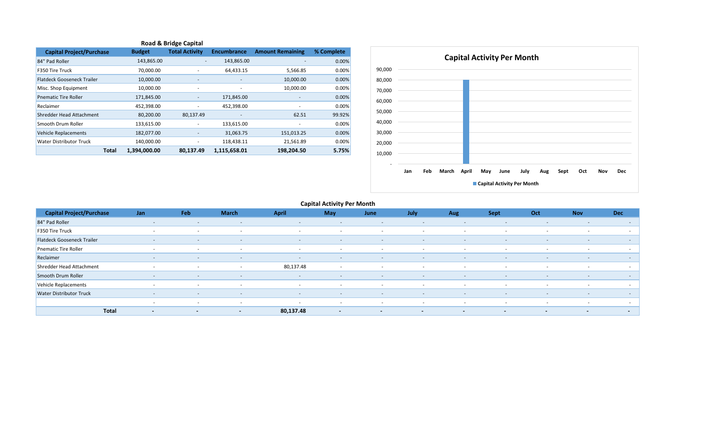| <b>Road &amp; Bridge Capital</b>  |              |               |                          |                              |                              |            |  |  |  |  |  |  |  |
|-----------------------------------|--------------|---------------|--------------------------|------------------------------|------------------------------|------------|--|--|--|--|--|--|--|
| <b>Capital Project/Purchase</b>   |              | <b>Budget</b> | <b>Total Activity</b>    | <b>Encumbrance</b>           | <b>Amount Remaining</b>      | % Complete |  |  |  |  |  |  |  |
| 84" Pad Roller                    |              | 143,865.00    | -                        | 143,865.00                   |                              | 0.00%      |  |  |  |  |  |  |  |
| F350 Tire Truck                   |              | 70,000.00     | ٠                        | 64,433.15                    | 5,566.85                     | 0.00%      |  |  |  |  |  |  |  |
| <b>Flatdeck Gooseneck Trailer</b> |              | 10,000.00     |                          |                              | 10,000.00                    | 0.00%      |  |  |  |  |  |  |  |
| Misc. Shop Equipment              |              | 10,000.00     | $\overline{\phantom{a}}$ | ٠                            | 10,000.00                    | 0.00%      |  |  |  |  |  |  |  |
| <b>Pnematic Tire Roller</b>       |              | 171,845.00    | -                        | 171,845.00                   | $\qquad \qquad \blacksquare$ | 0.00%      |  |  |  |  |  |  |  |
| Reclaimer                         |              | 452,398.00    | ٠                        | 452,398.00                   | ٠                            | 0.00%      |  |  |  |  |  |  |  |
| Shredder Head Attachment          |              | 80,200.00     | 80,137.49                | $\qquad \qquad \blacksquare$ | 62.51                        | 99.92%     |  |  |  |  |  |  |  |
| Smooth Drum Roller                |              | 133,615.00    | ٠                        | 133,615.00                   |                              | 0.00%      |  |  |  |  |  |  |  |
| Vehicle Replacements              |              | 182,077.00    |                          | 31,063.75                    | 151,013.25                   | 0.00%      |  |  |  |  |  |  |  |
| Water Distributor Truck           |              | 140,000.00    | -                        | 118,438.11                   | 21,561.89                    | 0.00%      |  |  |  |  |  |  |  |
|                                   | <b>Total</b> | 1,394,000.00  | 80.137.49                | 1,115,658.01                 | 198,204.50                   | 5.75%      |  |  |  |  |  |  |  |



| <b>Capital Project/Purchase</b>   | Jan                                      | Feb                      | <b>March</b>             | <b>April</b>             | May                      | June                     | July                     | Aug                      | Sept                     | Oct                      | <b>Nov</b>               | <b>Dec</b> |
|-----------------------------------|------------------------------------------|--------------------------|--------------------------|--------------------------|--------------------------|--------------------------|--------------------------|--------------------------|--------------------------|--------------------------|--------------------------|------------|
| 84" Pad Roller                    | $\sim$                                   | $\sim$                   | $\sim$                   | $\sim$                   | $\sim$                   | $\sim$                   | $\overline{\phantom{0}}$ | $\sim$                   | $\overline{\phantom{a}}$ | $\sim$                   | $\sim$                   | $\sim$     |
| F350 Tire Truck                   | $\sim$                                   | $\sim$                   | $\sim$                   | $\sim$                   | $\sim$                   | $\sim$                   | $\sim$                   | $\sim$                   | $\sim$                   | $\overline{\phantom{a}}$ | $\sim$                   | $\sim$     |
| <b>Flatdeck Gooseneck Trailer</b> | $\sim$                                   | $\sim$                   | $\sim$                   | $\sim$                   | $\sim$                   | $\sim$                   | $\sim$                   | $\sim$                   | $\sim$                   | $\sim$                   | $\overline{a}$           | $\sim$     |
| <b>Pnematic Tire Roller</b>       | $\sim$                                   | $\sim$                   | $\sim$                   | $\sim$                   | $\sim$                   | $\sim$                   | $\sim$                   | $\sim$                   | $\sim$                   | $\sim$                   | $\sim$                   | $\sim$ $-$ |
| Reclaimer                         | $\sim$                                   | $\overline{\phantom{0}}$ | $\sim$                   | $\sim$                   | $\overline{\phantom{a}}$ | $\sim$                   | $\overline{\phantom{a}}$ | $\sim$                   | $\overline{\phantom{a}}$ | $\sim$                   | $\sim$                   | $\sim$     |
| Shredder Head Attachment          | $\sim$                                   | $\sim$                   | $\sim$                   | 80,137.48                | $\sim$                   | $\sim$                   | $\sim$                   | $\sim$                   | $\sim$                   | $\sim$                   | $\sim$                   | $\sim$     |
| Smooth Drum Roller                | $\sim$                                   | $\sim$                   | $\sim$                   | $\sim$                   | $\sim$                   | $\sim$                   | $\overline{\phantom{a}}$ | $\sim$                   | $\sim$                   | $\sim$                   | $\sim$                   | $\sim$     |
| Vehicle Replacements              | $\sim$                                   | $\sim$                   | $\sim$                   | $\sim$                   | $\sim$                   | $\sim$                   | $\sim$                   | $\sim$                   | $\sim$                   | $\sim$                   |                          | $\sim$     |
| <b>Water Distributor Truck</b>    | $\sim$                                   | $\overline{\phantom{0}}$ | $\sim$                   | $\sim$                   | $\sim$                   | $\sim$                   | $\overline{\phantom{a}}$ | $\sim$                   | $\sim$                   | $\sim$                   | $\sim$                   | $\sim$     |
|                                   | $\sim$                                   | $\sim$                   | $\sim$                   | $\overline{\phantom{0}}$ | $\overline{\phantom{a}}$ | $\sim$                   | $\overline{\phantom{a}}$ | $\sim$                   | $\overline{\phantom{0}}$ | $\overline{\phantom{a}}$ | $\sim$                   | $\sim$     |
|                                   | <b>Total</b><br>$\overline{\phantom{a}}$ | $\overline{\phantom{0}}$ | $\overline{\phantom{0}}$ | 80,137.48                | $\sim$                   | $\overline{\phantom{0}}$ | $\overline{\phantom{a}}$ | $\overline{\phantom{a}}$ | $\overline{\phantom{0}}$ | $\overline{\phantom{a}}$ | $\overline{\phantom{a}}$ | $\sim$     |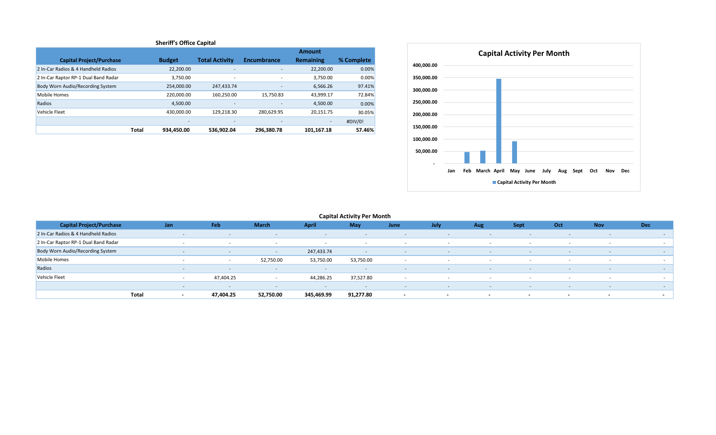| <b>Sheriff's Office Capital</b>      |              |                          |                          |                          |                  |             |  |  |  |  |  |  |
|--------------------------------------|--------------|--------------------------|--------------------------|--------------------------|------------------|-------------|--|--|--|--|--|--|
| Amount                               |              |                          |                          |                          |                  |             |  |  |  |  |  |  |
| <b>Capital Project/Purchase</b>      |              | <b>Budget</b>            | <b>Total Activity</b>    | <b>Encumbrance</b>       | <b>Remaining</b> | % Complete  |  |  |  |  |  |  |
| 2 In-Car Radios & 4 Handheld Radios  |              | 22,200.00                | ٠                        | $\overline{\phantom{a}}$ | 22,200.00        | 0.00%       |  |  |  |  |  |  |
| 2 In-Car Raptor RP-1 Dual Band Radar |              | 3.750.00                 | ٠                        | ٠                        | 3.750.00         | 0.00%       |  |  |  |  |  |  |
| Body Worn Audio/Recording System     |              | 254,000.00               | 247,433.74               | $\overline{\phantom{a}}$ | 6,566.26         | 97.41%      |  |  |  |  |  |  |
| Mobile Homes                         |              | 220.000.00               | 160.250.00               | 15,750.83                | 43,999.17        | 72.84%      |  |  |  |  |  |  |
| Radios                               |              | 4,500.00                 | $\overline{\phantom{a}}$ |                          | 4,500.00         | 0.00%       |  |  |  |  |  |  |
| Vehicle Fleet                        |              | 430,000.00               | 129,218.30               | 280,629.95               | 20,151.75        | 30.05%      |  |  |  |  |  |  |
|                                      |              | $\overline{\phantom{a}}$ | $\overline{\phantom{a}}$ |                          | -                | $\#$ DIV/0! |  |  |  |  |  |  |
|                                      | <b>Total</b> | 934.450.00               | 536.902.04               | 296.380.78               | 101.167.18       | 57.46%      |  |  |  |  |  |  |



| <b>Capital Project/Purchase</b>      | Jan   |        | Feb                      | <b>March</b>             | <b>April</b>             | May       | June                     | July                     | Aug                      | <b>Sept</b>              | Oct                      | <b>Nov</b>               | <b>Dec</b>               |
|--------------------------------------|-------|--------|--------------------------|--------------------------|--------------------------|-----------|--------------------------|--------------------------|--------------------------|--------------------------|--------------------------|--------------------------|--------------------------|
| 2 In-Car Radios & 4 Handheld Radios  |       | $\sim$ |                          | $\sim$                   | $\overline{\phantom{a}}$ | $\sim$    | $\sim$                   | $\sim$                   | $\sim$                   | $\sim$                   | $\overline{\phantom{a}}$ | $\overline{\phantom{a}}$ | $\sim$                   |
| 2 In-Car Raptor RP-1 Dual Band Radar |       |        |                          |                          |                          |           | $\overline{\phantom{a}}$ | $\overline{\phantom{a}}$ | $\overline{\phantom{a}}$ |                          | $\overline{\phantom{a}}$ | $\overline{\phantom{a}}$ |                          |
| Body Worn Audio/Recording System     |       | $\sim$ |                          | $\sim$                   | 247,433.74               | $\sim$    | $\sim$                   | $\sim$                   | $\sim$                   |                          | $\sim$                   | $\overline{\phantom{a}}$ | $\sim$                   |
| Mobile Homes                         |       | $\sim$ | $\sim$                   | 52,750.00                | 53,750.00                | 53,750.00 |                          | $\sim$                   |                          |                          | . .                      |                          | $\sim$                   |
| Radios                               |       | $\sim$ |                          | $\sim$                   | $\overline{a}$           |           | $\sim$                   | $\sim$                   | $\sim$                   |                          |                          |                          | $\sim$                   |
| Vehicle Fleet                        |       |        | 47,404.25                |                          | 44,286.25                | 37,527.80 | $\overline{\phantom{a}}$ |                          | . .                      |                          | . .                      | $\overline{\phantom{a}}$ |                          |
|                                      |       | $\sim$ | $\overline{\phantom{0}}$ | $\overline{\phantom{0}}$ | $\overline{\phantom{a}}$ | $\sim$    | $\sim$                   | $\sim$                   | $\sim$                   | $\sim$                   | $\sim$                   | $\overline{\phantom{a}}$ | . .                      |
|                                      | Total | $\sim$ | 47,404.25                | 52,750.00                | 345,469.99               | 91,277.80 | $\sim$                   | $\sim$                   | $\sim$                   | $\overline{\phantom{a}}$ | $\overline{\phantom{a}}$ | $\sim$                   | $\overline{\phantom{a}}$ |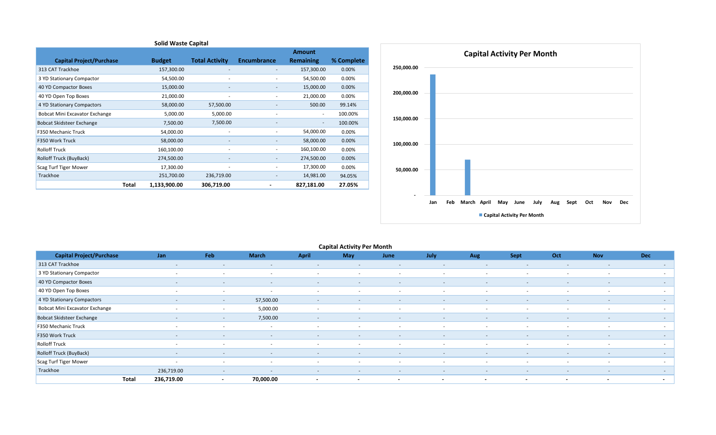| <b>Solid Waste Capital</b>      |       |               |                          |                    |                          |            |  |  |  |  |  |
|---------------------------------|-------|---------------|--------------------------|--------------------|--------------------------|------------|--|--|--|--|--|
|                                 |       |               |                          |                    | <b>Amount</b>            |            |  |  |  |  |  |
| <b>Capital Project/Purchase</b> |       | <b>Budget</b> | <b>Total Activity</b>    | <b>Encumbrance</b> | <b>Remaining</b>         | % Complete |  |  |  |  |  |
| 313 CAT Trackhoe                |       | 157,300.00    |                          |                    | 157,300.00               | 0.00%      |  |  |  |  |  |
| 3 YD Stationary Compactor       |       | 54,500.00     |                          |                    | 54,500.00                | 0.00%      |  |  |  |  |  |
| 40 YD Compactor Boxes           |       | 15,000.00     |                          |                    | 15,000.00                | 0.00%      |  |  |  |  |  |
| 40 YD Open Top Boxes            |       | 21,000.00     |                          |                    | 21,000.00                | 0.00%      |  |  |  |  |  |
| 4 YD Stationary Compactors      |       | 58,000.00     | 57,500.00                |                    | 500.00                   | 99.14%     |  |  |  |  |  |
| Bobcat Mini Excavator Exchange  |       | 5,000.00      | 5,000.00                 |                    | $\overline{\phantom{a}}$ | 100.00%    |  |  |  |  |  |
| Bobcat Skidsteer Exchange       |       | 7,500.00      | 7,500.00                 |                    |                          | 100.00%    |  |  |  |  |  |
| F350 Mechanic Truck             |       | 54,000.00     |                          |                    | 54,000.00                | 0.00%      |  |  |  |  |  |
| F350 Work Truck                 |       | 58,000.00     | $\overline{\phantom{a}}$ | ٠                  | 58,000.00                | 0.00%      |  |  |  |  |  |
| <b>Rolloff Truck</b>            |       | 160,100.00    |                          | ٠                  | 160,100.00               | 0.00%      |  |  |  |  |  |
| Rolloff Truck (BuyBack)         |       | 274,500.00    |                          |                    | 274,500.00               | 0.00%      |  |  |  |  |  |
| Scag Turf Tiger Mower           |       | 17,300.00     |                          |                    | 17,300.00                | 0.00%      |  |  |  |  |  |
| Trackhoe                        |       | 251,700.00    | 236,719.00               |                    | 14,981.00                | 94.05%     |  |  |  |  |  |
|                                 | Total | 1,133,900.00  | 306,719.00               |                    | 827,181.00               | 27.05%     |  |  |  |  |  |



| <b>Capital Activity Per Month</b> |       |            |                          |                          |                          |                          |                          |                          |                          |                          |                          |                          |                          |
|-----------------------------------|-------|------------|--------------------------|--------------------------|--------------------------|--------------------------|--------------------------|--------------------------|--------------------------|--------------------------|--------------------------|--------------------------|--------------------------|
| <b>Capital Project/Purchase</b>   |       | Jan        | Feb                      | <b>March</b>             | <b>April</b>             | May                      | June                     | July                     | Aug                      | Sept                     | Oct                      | <b>Nov</b>               | <b>Dec</b>               |
| 313 CAT Trackhoe                  |       | $\sim$     | $\overline{\phantom{0}}$ | $\sim$                   | $\overline{\phantom{a}}$ | $\overline{\phantom{a}}$ | $\overline{\phantom{a}}$ | $\overline{\phantom{a}}$ | $\overline{\phantom{a}}$ | $\overline{\phantom{a}}$ | $\sim$                   | $\sim$                   | $\sim$ 100 $\pm$         |
| 3 YD Stationary Compactor         |       | $\sim$     | $\sim$                   | $\sim$                   | $\sim$                   | $\sim$                   | $\sim$                   | $\sim$                   | $\sim$                   | $\sim$                   | $\sim$                   | $\sim$                   | $\sim$                   |
| 40 YD Compactor Boxes             |       | $\sim$     | $\overline{a}$           | $\overline{\phantom{0}}$ | $\overline{\phantom{a}}$ | $\overline{\phantom{a}}$ | $\overline{\phantom{a}}$ | $\overline{\phantom{0}}$ | $\overline{\phantom{a}}$ | $\overline{\phantom{a}}$ | $\sim$                   | $\sim$                   | $\sim$                   |
| 40 YD Open Top Boxes              |       | $\sim$     | $\sim$                   | $\sim$                   | $\sim$                   | $\sim$                   | $\sim$                   | $\sim$                   | $\sim$                   | $\sim$                   | $\sim$                   | $\sim$                   | $\sim$                   |
| 4 YD Stationary Compactors        |       | $\sim$     | $\sim$                   | 57,500.00                | $\overline{\phantom{a}}$ | $\overline{\phantom{0}}$ | $\overline{\phantom{0}}$ | $\overline{\phantom{0}}$ | $\sim$                   | $\overline{\phantom{0}}$ | $\overline{\phantom{a}}$ | $\sim$                   | $\sim$                   |
| Bobcat Mini Excavator Exchange    |       | $\sim$     | $\sim$                   | 5,000.00                 | $\sim$                   |                          | $\sim$                   | $\sim$                   | $\sim$                   | $\overline{\phantom{a}}$ | $\sim$                   | $\sim$                   | $\sim$                   |
| <b>Bobcat Skidsteer Exchange</b>  |       | $\sim$     | $\sim$                   | 7,500.00                 | $\sim$                   | $\overline{\phantom{a}}$ | $\sim$                   | $\sim$                   | $\sim$                   | $\sim$                   | $\sim$                   | $\sim$                   | $\sim$                   |
| F350 Mechanic Truck               |       | $\sim$     | $\sim$                   | $\sim$                   |                          | $\overline{\phantom{0}}$ | $\sim$                   | $\overline{\phantom{a}}$ | $\sim$                   | -                        | $\sim$                   | $\sim$                   | $\sim$                   |
| F350 Work Truck                   |       | $\sim$     | $\sim$                   | $\sim$                   | $\sim$                   | $\overline{\phantom{a}}$ | $\sim$                   | $\sim$                   | $\sim$                   | $\sim$                   | $\sim$                   | $\sim$                   | $\sim$                   |
| <b>Rolloff Truck</b>              |       | $\sim$     | $\sim$                   | $\sim$                   | $\sim$                   | $\sim$                   | $\sim$                   | $\sim$                   | $\sim$                   | $\sim$                   | $\overline{\phantom{a}}$ | $\sim$                   | $\sim$                   |
| Rolloff Truck (BuyBack)           |       | $\sim$     | $\sim$                   | $\sim$                   | $\sim$                   | $\overline{\phantom{a}}$ | $\sim$                   | $\sim$                   | $\sim$                   | $\overline{\phantom{a}}$ | $\overline{\phantom{a}}$ | $\sim$                   | $\sim$                   |
| Scag Turf Tiger Mower             |       | $\sim$     | $\sim$                   | $\sim$                   | $\sim$                   | $\sim$                   | $\sim$                   | $\sim$                   | $\sim$                   | $\sim$                   | $\sim$                   | $\sim$                   | $\sim$                   |
| Trackhoe                          |       | 236,719.00 | $\sim$                   | $\sim$                   | $\sim$                   | $\overline{\phantom{a}}$ | $\overline{\phantom{a}}$ | $\overline{\phantom{a}}$ | $\sim$                   | $\overline{\phantom{a}}$ | $\overline{\phantom{a}}$ | $\sim$                   | $\sim$                   |
|                                   | Total | 236,719.00 | $\overline{\phantom{a}}$ | 70,000.00                | $\overline{\phantom{0}}$ | $\overline{\phantom{a}}$ |                          | $\overline{\phantom{a}}$ | $\overline{a}$           | $\overline{\phantom{a}}$ | $\overline{a}$           | $\overline{\phantom{a}}$ | $\overline{\phantom{a}}$ |